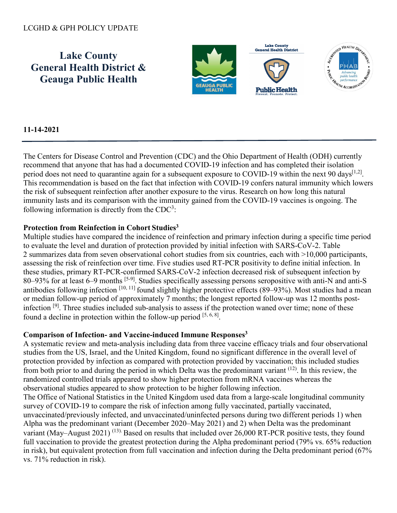# LCGHD & GPH POLICY UPDATE

**Lake County General Health District & Geauga Public Health**



# **11-14-2021**

The Centers for Disease Control and Prevention (CDC) and the Ohio Department of Health (ODH) currently recommend that anyone that has had a documented COVID-19 infection and has completed their isolation period does not need to quarantine again for a subsequent exposure to COVID-19 within the next 90 days<sup>[1,2]</sup>. This recommendation is based on the fact that infection with COVID-19 confers natural immunity which lowers the risk of subsequent reinfection after another exposure to the virus. Research on how long this natural immunity lasts and its comparison with the immunity gained from the COVID-19 vaccines is ongoing. The following information is directly from the  $CDC<sup>3</sup>$ :

#### **Protection from Reinfection in Cohort Studies3**

Multiple studies have compared the incidence of reinfection and primary infection during a specific time period to evaluate the level and duration of protection provided by initial infection with SARS-CoV-2. Table 2 summarizes data from seven observational cohort studies from six countries, each with >10,000 participants, assessing the risk of reinfection over time. Five studies used RT-PCR positivity to define initial infection. In these studies, primary RT-PCR-confirmed SARS-CoV-2 infection decreased risk of subsequent infection by 80–93% for at least 6–9 months [5-9]. Studies specifically assessing persons seropositive with anti-N and anti-S antibodies following infection  $[10, 11]$  found slightly higher protective effects (89–93%). Most studies had a mean or median follow-up period of approximately 7 months; the longest reported follow-up was 12 months postinfection [9]. Three studies included sub-analysis to assess if the protection waned over time; none of these found a decline in protection within the follow-up period  $[5, 6, 8]$ .

### **Comparison of Infection- and Vaccine-induced Immune Responses3**

A systematic review and meta-analysis including data from three vaccine efficacy trials and four observational studies from the US, Israel, and the United Kingdom, found no significant difference in the overall level of protection provided by infection as compared with protection provided by vaccination; this included studies from both prior to and during the period in which Delta was the predominant variant (12). In this review, the randomized controlled trials appeared to show higher protection from mRNA vaccines whereas the observational studies appeared to show protection to be higher following infection.

The Office of National Statistics in the United Kingdom used data from a large-scale longitudinal community survey of COVID-19 to compare the risk of infection among fully vaccinated, partially vaccinated, unvaccinated/previously infected, and unvaccinated/uninfected persons during two different periods 1) when Alpha was the predominant variant (December 2020–May 2021) and 2) when Delta was the predominant variant (May–August 2021)<sup>(13).</sup> Based on results that included over 26,000 RT-PCR positive tests, they found full vaccination to provide the greatest protection during the Alpha predominant period (79% vs. 65% reduction in risk), but equivalent protection from full vaccination and infection during the Delta predominant period (67% vs. 71% reduction in risk).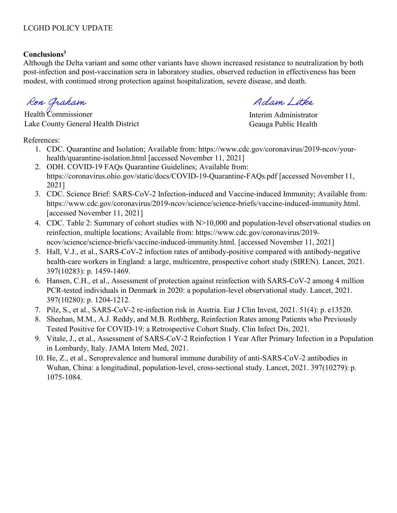# **Conclusions3**

Although the Delta variant and some other variants have shown increased resistance to neutralization by both post-infection and post-vaccination sera in laboratory studies, observed reduction in effectiveness has been modest, with continued strong protection against hospitalization, severe disease, and death.

Ron Graham

Health Commissioner Lake County General Health District

References:

- 1. CDC. Quarantine and Isolation; Available from: [https://www.cdc.gov/coronavirus/2019-ncov/your](http://www.cdc.gov/coronavirus/2019-ncov/your-)health/quarantine-isolation.html [accessed November 11, 2021]
- 2. ODH. COVID-19 FAQs Quarantine Guidelines; Available from: https://coronavirus.ohio.gov/static/docs/COVID-19-Quarantine-FAQs.pdf [accessed November 11, 2021]
- 3. CDC. Science Brief: SARS-CoV-2 Infection-induced and Vaccine-induced Immunity; Available from: [https://www.cdc.gov/coronavirus/2019-ncov/science/science-briefs/vaccine-induced-immunity.html.](http://www.cdc.gov/coronavirus/2019-ncov/science/science-briefs/vaccine-induced-immunity.html) [accessed November 11, 2021]
- 4. CDC. Table 2: Summary of cohort studies with N>10,000 and population-level observational studies on reinfection, multiple locations; Available f[rom: https://www.cdc.gov/coronavirus/2019](http://www.cdc.gov/coronavirus/2019-) ncov/science/science-briefs/vaccine-induced-immunity.html. [accessed November 11, 2021]
- 5. Hall, V.J., et al., SARS-CoV-2 infection rates of antibody-positive compared with antibody-negative health-care workers in England: a large, multicentre, prospective cohort study (SIREN). Lancet, 2021. 397(10283): p. 1459-1469.
- 6. Hansen, C.H., et al., Assessment of protection against reinfection with SARS-CoV-2 among 4 million PCR-tested individuals in Denmark in 2020: a population-level observational study. Lancet, 2021. 397(10280): p. 1204-1212.
- 7. Pilz, S., et al., SARS-CoV-2 re-infection risk in Austria. Eur J Clin Invest, 2021. 51(4): p. e13520.
- 8. Sheehan, M.M., A.J. Reddy, and M.B. Rothberg, Reinfection Rates among Patients who Previously Tested Positive for COVID-19: a Retrospective Cohort Study. Clin Infect Dis, 2021.
- 9. Vitale, J., et al., Assessment of SARS-CoV-2 Reinfection 1 Year After Primary Infection in a Population in Lombardy, Italy. JAMA Intern Med, 2021.
- 10. He, Z., et al., Seroprevalence and humoral immune durability of anti-SARS-CoV-2 antibodies in Wuhan, China: a longitudinal, population-level, cross-sectional study. Lancet, 2021. 397(10279): p. 1075-1084.

Adam / itke

Interim Administrator Geauga Public Health